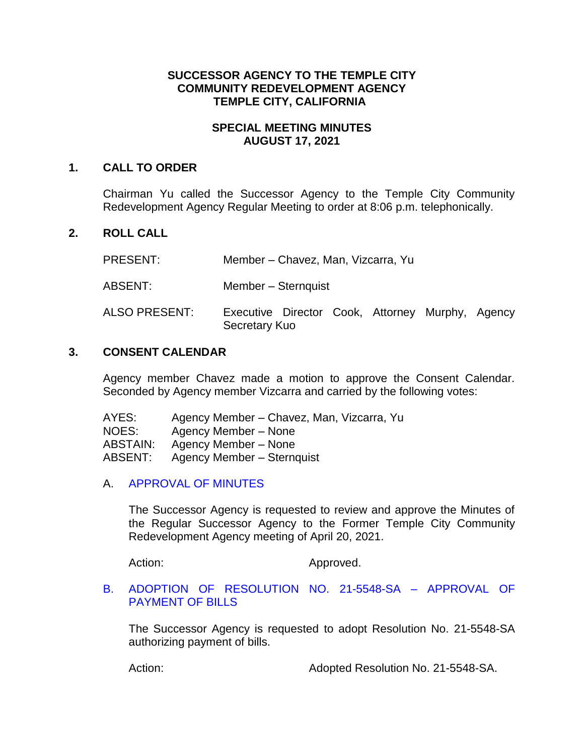# **SUCCESSOR AGENCY TO THE TEMPLE CITY COMMUNITY REDEVELOPMENT AGENCY TEMPLE CITY, CALIFORNIA**

#### **SPECIAL MEETING MINUTES AUGUST 17, 2021**

### **1. CALL TO ORDER**

Chairman Yu called the Successor Agency to the Temple City Community Redevelopment Agency Regular Meeting to order at 8:06 p.m. telephonically.

# **2. ROLL CALL**

PRESENT: Member – Chavez, Man, Vizcarra, Yu

- ABSENT: Member Sternquist
- ALSO PRESENT: Executive Director Cook, Attorney Murphy, Agency Secretary Kuo

#### **3. CONSENT CALENDAR**

Agency member Chavez made a motion to approve the Consent Calendar. Seconded by Agency member Vizcarra and carried by the following votes:

| AYES:           | Agency Member - Chavez, Man, Vizcarra, Yu |
|-----------------|-------------------------------------------|
| NOES:           | Agency Member – None                      |
| <b>ABSTAIN:</b> | Agency Member – None                      |
| ABSENT:         | Agency Member - Sternquist                |

# A. [APPROVAL OF MINUTES](https://www.ci.temple-city.ca.us/DocumentCenter/View/16632/3A_SAM--2021-04-20)

The Successor Agency is requested to review and approve the Minutes of the Regular Successor Agency to the Former Temple City Community Redevelopment Agency meeting of April 20, 2021.

Action: Approved.

#### B. [ADOPTION OF RESOLUTION NO. 21-5548-SA –](https://www.ci.temple-city.ca.us/DocumentCenter/View/16631/3B_Reso-No-21-5548-SA-81721---Warrants--Demands-FY-2021-22-FINAL) APPROVAL OF [PAYMENT OF BILLS](https://www.ci.temple-city.ca.us/DocumentCenter/View/16631/3B_Reso-No-21-5548-SA-81721---Warrants--Demands-FY-2021-22-FINAL)

The Successor Agency is requested to adopt Resolution No. 21-5548-SA authorizing payment of bills.

Action: Adopted Resolution No. 21-5548-SA.